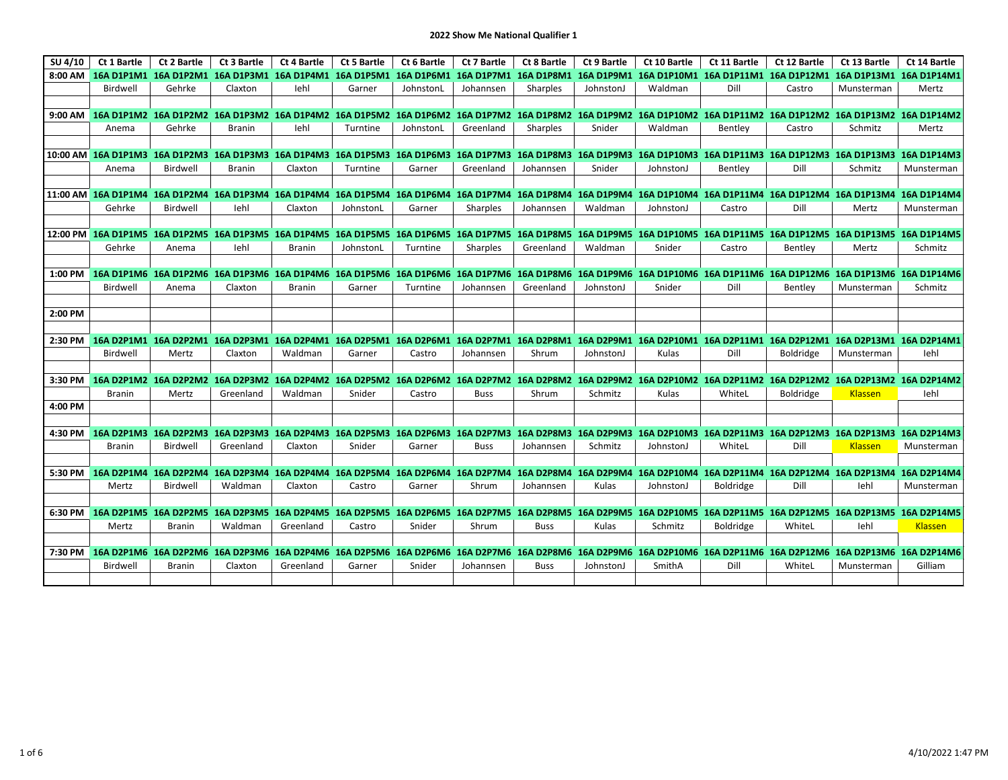| SU 4/10 | Ct 1 Bartle   | Ct 2 Bartle   | Ct 3 Bartle                                                                  | <b>Ct 4 Bartle</b> | Ct 5 Bartle | Ct 6 Bartle | Ct 7 Bartle       | Ct 8 Bartle | Ct 9 Bartle | Ct 10 Bartle | Ct 11 Bartle     | Ct 12 Bartle                                                                                                                                                                                                            | Ct 13 Bartle   | Ct 14 Bartle |
|---------|---------------|---------------|------------------------------------------------------------------------------|--------------------|-------------|-------------|-------------------|-------------|-------------|--------------|------------------|-------------------------------------------------------------------------------------------------------------------------------------------------------------------------------------------------------------------------|----------------|--------------|
| 8:00 AM |               |               | 16A D1P1M1 16A D1P2M1 16A D1P3M1 16A D1P4M1 16A D1P5M1                       |                    |             | 16A D1P6M1  | <b>16A D1P7M1</b> | 16A D1P8M1  | 16A D1P9M1  |              |                  | 16A D1P10M1 16A D1P11M1 16A D1P12M1 16A D1P13M1 16A D1P14M1                                                                                                                                                             |                |              |
|         | Birdwell      | Gehrke        | Claxton                                                                      | lehl               | Garner      | JohnstonL   | Johannsen         | Sharples    | JohnstonJ   | Waldman      | Dill             | Castro                                                                                                                                                                                                                  | Munsterman     | Mertz        |
|         |               |               |                                                                              |                    |             |             |                   |             |             |              |                  |                                                                                                                                                                                                                         |                |              |
|         |               |               | 9:00 AM 16A D1P1M2 16A D1P2M2 16A D1P3M2 16A D1P4M2 16A D1P5M2 16A D1P6M2    |                    |             |             |                   |             |             |              |                  | 16A D1P7M2 16A D1P8M2 16A D1P9M2 16A D1P10M2 16A D1P11M2 16A D1P12M2 16A D1P13M2 16A D1P14M2                                                                                                                            |                |              |
|         | Anema         | Gehrke        | <b>Branin</b>                                                                | lehl               | Turntine    | JohnstonL   | Greenland         | Sharples    | Snider      | Waldman      | Bentley          | Castro                                                                                                                                                                                                                  | Schmitz        | Mertz        |
|         |               |               |                                                                              |                    |             |             |                   |             |             |              |                  |                                                                                                                                                                                                                         |                |              |
|         |               |               |                                                                              |                    |             |             |                   |             |             |              |                  | 10:00 AM 16A D1P1M3 16A D1P2M3 16A D1P3M3 16A D1P4M3 16A D1P5M3 16A D1P6M3 16A D1P7M3 16A D1P8M3 16A D1P9M3 16A D1P10M3 16A D1P11M3 16A D1P12M3 16A D1P12M3 16A D1P12M3                                                 |                | 16A D1P14M3  |
|         | Anema         | Birdwell      | <b>Branin</b>                                                                | Claxton            | Turntine    | Garner      | Greenland         | Johannsen   | Snider      | JohnstonJ    | Bentley          | Dill                                                                                                                                                                                                                    | Schmitz        | Munsterman   |
|         |               |               |                                                                              |                    |             |             |                   |             |             |              |                  |                                                                                                                                                                                                                         |                |              |
|         |               |               |                                                                              |                    |             |             |                   |             |             |              |                  | 11:00 AM 16A D1P1M4 16A D1P2M4 16A D1P3M4 16A D1P4M4 16A D1P5M4 16A D1P6M4 16A D1P7M4 16A D1P8M4 16A D1P9M4 16A D1P10M4 16A D1P11M4 16A D1P12M4 16A D1P12M4 16A D1P12M4                                                 |                | 16A D1P14M4  |
|         | Gehrke        | Birdwell      | lehl                                                                         | Claxton            | JohnstonL   | Garner      | Sharples          | Johannsen   | Waldman     | JohnstonJ    | Castro           | Dill                                                                                                                                                                                                                    | Mertz          | Munsterman   |
|         |               |               |                                                                              |                    |             |             |                   |             |             |              |                  |                                                                                                                                                                                                                         |                |              |
|         |               |               |                                                                              |                    |             |             |                   |             |             |              |                  | 12:00 PM 16A D1P1M5 16A D1P2M5 16A D1P3M5 16A D1P4M5 16A D1P5M5 16A D1P6M5 16A D1P7M5 16A D1P8M5 16A D1P9M5 16A D1P10M5 16A D1P10M5 16A D1P11M5 16A D1P11M5 16A D1P12M5 16A D1P13M5 16A D1P13M5 16A D1P13M5 16A D1P14M5 |                |              |
|         | Gehrke        | Anema         | lehl                                                                         | <b>Branin</b>      | JohnstonL   | Turntine    | Sharples          | Greenland   | Waldman     | Snider       | Castro           | Bentley                                                                                                                                                                                                                 | Mertz          | Schmitz      |
| 1:00 PM |               |               | 16A D1P1M6 16A D1P2M6 16A D1P3M6 16A D1P4M6 16A D1P5M6 16A D1P6M6 16A D1P7M6 |                    |             |             |                   | 16A D1P8M6  |             |              |                  | 16A D1P9M6 16A D1P10M6 16A D1P11M6 16A D1P12M6 16A D1P13M6 16A D1P14M6                                                                                                                                                  |                |              |
|         | Birdwell      | Anema         | Claxton                                                                      | <b>Branin</b>      | Garner      | Turntine    | Johannsen         | Greenland   | JohnstonJ   | Snider       | Dill             | Bentley                                                                                                                                                                                                                 | Munsterman     | Schmitz      |
|         |               |               |                                                                              |                    |             |             |                   |             |             |              |                  |                                                                                                                                                                                                                         |                |              |
| 2:00 PM |               |               |                                                                              |                    |             |             |                   |             |             |              |                  |                                                                                                                                                                                                                         |                |              |
|         |               |               |                                                                              |                    |             |             |                   |             |             |              |                  |                                                                                                                                                                                                                         |                |              |
|         |               |               |                                                                              |                    |             |             |                   |             |             |              |                  | 2:30 PM 16A D2P1M1 16A D2P2M1 16A D2P3M1 16A D2P4M1 16A D2P5M1 16A D2P6M1 16A D2P7M1 16A D2P8M1 16A D2P9M1 16A D2P10M1 16A D2P11M1 16A D2P11M1 16A D2P12M1 16A D2P13M1 16A D2P14M1                                      |                |              |
|         | Birdwell      | Mertz         | Claxton                                                                      | Waldman            | Garner      | Castro      | Johannsen         | Shrum       | JohnstonJ   | Kulas        | Dill             | Boldridge                                                                                                                                                                                                               | Munsterman     | lehl         |
|         |               |               |                                                                              |                    |             |             |                   |             |             |              |                  |                                                                                                                                                                                                                         |                |              |
| 3:30 PM |               |               |                                                                              |                    |             |             |                   |             |             |              |                  | 16A D2P1M2 16A D2P2M2 16A D2P3M2 16A D2P4M2 16A D2P5M2 16A D2P6M2 16A D2P7M2 16A D2P8M2 16A D2P9M2 16A D2P10M2 16A D2P11M2 16A D2P12M2 16A D2P13M2 16A D2P13M2 16A D2P14M2                                              |                |              |
|         | Branin        | Mertz         | Greenland                                                                    | Waldman            | Snider      | Castro      | <b>Buss</b>       | Shrum       | Schmitz     | Kulas        | WhiteL           | <b>Boldridge</b>                                                                                                                                                                                                        | <b>Klassen</b> | lehl         |
| 4:00 PM |               |               |                                                                              |                    |             |             |                   |             |             |              |                  |                                                                                                                                                                                                                         |                |              |
|         |               |               |                                                                              |                    |             |             |                   |             |             |              |                  |                                                                                                                                                                                                                         |                |              |
|         |               |               |                                                                              |                    |             |             |                   |             |             |              |                  | 4:30 PM 16A D2P1M3 16A D2P2M3 16A D2P3M3 16A D2P4M3 16A D2P5M3 16A D2P6M3 16A D2P7M3 16A D2P8M3 16A D2P9M3 16A D2P1M3 16A D2P11M3 16A D2P11M3 16A D2P12M3 16A D2P13M3 16A D2P13M3 16A D2P1                              |                |              |
|         | <b>Branin</b> | Birdwell      | Greenland                                                                    | Claxton            | Snider      | Garner      | <b>Buss</b>       | Johannsen   | Schmitz     | JohnstonJ    | WhiteL           | Dill                                                                                                                                                                                                                    | Klassen        | Munsterman   |
|         |               |               |                                                                              |                    |             |             |                   |             |             |              |                  |                                                                                                                                                                                                                         |                |              |
|         |               |               |                                                                              |                    |             |             |                   |             |             |              |                  | 5:30 PM 16A D2P1M4 16A D2P2M4 16A D2P3M4 16A D2P4M4 16A D2P5M4 16A D2P6M4 16A D2P7M4 16A D2P8M4 16A D2P9M4 16A D2P10M4 16A D2P11M4 16A D2P11M4 16A D2P12M4 16A D2P12M4                                                  |                | 16A D2P14M4  |
|         | Mertz         | Birdwell      | Waldman                                                                      | Claxton            | Castro      | Garner      | Shrum             | Johannsen   | Kulas       | JohnstonJ    | <b>Boldridge</b> | Dill                                                                                                                                                                                                                    | lehl           | Munsterman   |
|         |               |               |                                                                              |                    |             |             |                   |             |             |              |                  |                                                                                                                                                                                                                         |                |              |
|         |               |               |                                                                              |                    |             |             |                   |             |             |              |                  | 6:30 PM 16A D2P1M5 16A D2P2M5 16A D2P3M5 16A D2P4M5 16A D2P5M5 16A D2P6M5 16A D2P7M5 16A D2P8M5 16A D2P9M5 16A D2P10M5 16A D2P11M5 16A D2P11M5 16A D2P12M5 16A D2P13M5 16A D2P14M5                                      |                |              |
|         | Mertz         | <b>Branin</b> | Waldman                                                                      | Greenland          | Castro      | Snider      | Shrum             | <b>Buss</b> | Kulas       | Schmitz      | <b>Boldridge</b> | WhiteL                                                                                                                                                                                                                  | lehl           | Klassen      |
|         |               |               |                                                                              |                    |             |             |                   |             |             |              |                  |                                                                                                                                                                                                                         |                |              |
| 7:30 PM |               |               | 16A D2P1M6 16A D2P2M6 16A D2P3M6                                             |                    |             |             |                   |             |             |              |                  | 16A D2P4M6 16A D2P5M6 16A D2P6M6 16A D2P7M6 16A D2P8M6 16A D2P9M6 16A D2P10M6 16A D2P11M6 16A D2P12M6 16A D2P13M6 16A D2P14M6                                                                                           |                |              |
|         | Birdwell      | <b>Branin</b> | Claxton                                                                      | Greenland          | Garner      | Snider      | Johannsen         | <b>Buss</b> | JohnstonJ   | SmithA       | Dill             | WhiteL                                                                                                                                                                                                                  | Munsterman     | Gilliam      |
|         |               |               |                                                                              |                    |             |             |                   |             |             |              |                  |                                                                                                                                                                                                                         |                |              |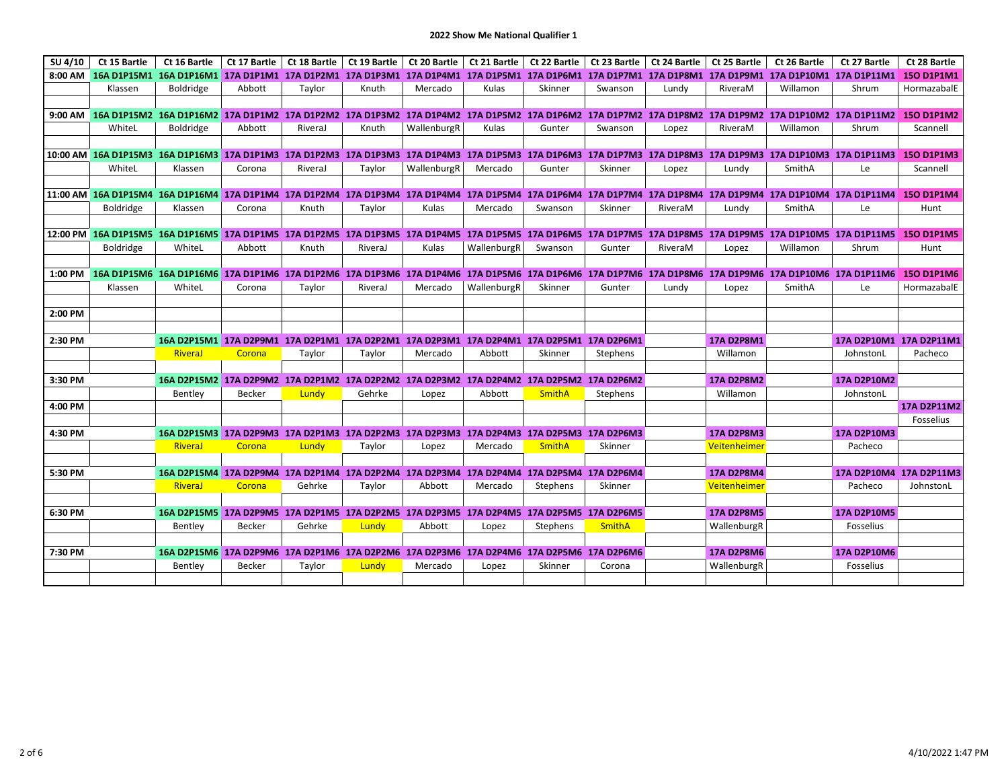| SU 4/10 | Ct 15 Bartle                                                                                                                                                                                                                   | Ct 16 Bartle                                                                             |        | Ct 17 Bartle   Ct 18 Bartle |         | Ct 19 Bartle   Ct 20 Bartle   Ct 21 Bartle |             |               |               | Ct 22 Bartle   Ct 23 Bartle   Ct 24 Bartle | Ct 25 Bartle      | Ct 26 Bartle | Ct 27 Bartle       | Ct 28 Bartle            |
|---------|--------------------------------------------------------------------------------------------------------------------------------------------------------------------------------------------------------------------------------|------------------------------------------------------------------------------------------|--------|-----------------------------|---------|--------------------------------------------|-------------|---------------|---------------|--------------------------------------------|-------------------|--------------|--------------------|-------------------------|
|         | 8:00 AM 16A D1P15M1 16A D1P16M1 17A D1P1M1 17A D1P2M1 17A D1P3M1 17A D1P4M1 17A D1P5M1 17A D1P6M1 17A D1P7M1 17A D1P8M1 17A D1P9M1 17A D1P10M1 17A D1P10M1 17A D1P10M1                                                         |                                                                                          |        |                             |         |                                            |             |               |               |                                            |                   |              |                    | 150 D1P1M1              |
|         | Klassen                                                                                                                                                                                                                        | <b>Boldridge</b>                                                                         | Abbott | Taylor                      | Knuth   | Mercado                                    | Kulas       | Skinner       | Swanson       | Lundy                                      | RiveraM           | Willamon     | Shrum              | HormazabalE             |
|         |                                                                                                                                                                                                                                |                                                                                          |        |                             |         |                                            |             |               |               |                                            |                   |              |                    |                         |
|         | 9:00 AM 16A D1P15M2 16A D1P16M2 17A D1P1M2 17A D1P2M2 17A D1P3M2 17A D1P4M2 17A D1P5M2 17A D1P6M2 17A D1P7M2 17A D1P8M2 17A D1P9M2 17A D1P10M2 17A D1P10M2 17A D1P11M2 15O D1P1M2                                              |                                                                                          |        |                             |         |                                            |             |               |               |                                            |                   |              |                    |                         |
|         | WhiteL                                                                                                                                                                                                                         | <b>Boldridge</b>                                                                         | Abbott | RiveraJ                     | Knuth   | WallenburgR                                | Kulas       | Gunter        | Swanson       | Lopez                                      | RiveraM           | Willamon     | Shrum              | Scannell                |
|         |                                                                                                                                                                                                                                |                                                                                          |        |                             |         |                                            |             |               |               |                                            |                   |              |                    |                         |
|         | 10:00 AM 16A D1P15M3 16A D1P16M3 17A D1P1M3 17A D1P2M3 17A D1P3M3 17A D1P4M3 17A D1P5M3 17A D1P6M3 17A D1P7M3 17A D1P8M3 17A D1P9M3 17A D1P10M3 17A D1P10M3 17A D1P10M3 17A D1P10M3 17A D1P10M3 17A D1P10M3 17A D1P10M3 17A D1 |                                                                                          |        |                             |         |                                            |             |               |               |                                            |                   |              |                    | 150 D1P1M3              |
|         | WhiteL                                                                                                                                                                                                                         | Klassen                                                                                  | Corona | RiveraJ                     | Taylor  | WallenburgR                                | Mercado     | Gunter        | Skinner       | Lopez                                      | Lundy             | SmithA       | Le                 | Scannell                |
|         |                                                                                                                                                                                                                                |                                                                                          |        |                             |         |                                            |             |               |               |                                            |                   |              |                    |                         |
|         | 11:00 AM 16A D1P15M4 16A D1P16M4 17A D1P1M4 17A D1P2M4 17A D1P3M4 17A D1P4M4 17A D1P5M4 17A D1P6M4 17A D1P7M4 17A D1P8M4 17A D1P9M4 17A D1P1M4 17A D1P1M4 17A D1P11M4 15O D1P1M4                                               |                                                                                          |        |                             |         |                                            |             |               |               |                                            |                   |              |                    |                         |
|         | <b>Boldridge</b>                                                                                                                                                                                                               | Klassen                                                                                  | Corona | Knuth                       | Taylor  | Kulas                                      | Mercado     | Swanson       | Skinner       | RiveraM                                    | Lundy             | SmithA       | Le                 | Hunt                    |
|         |                                                                                                                                                                                                                                |                                                                                          |        |                             |         |                                            |             |               |               |                                            |                   |              |                    |                         |
|         | 12:00 PM 16A D1P15M5 16A D1P16M5 17A D1P1M5 17A D1P2M5 17A D1P3M5 17A D1P4M5 17A D1P5M5 17A D1P6M5 17A D1P7M5 17A D1P8M5 17A D1P9M5 17A D1P10M5 17A D1P10M5 17A D1P11M5 15O D1P1M5                                             |                                                                                          |        |                             |         |                                            |             |               |               |                                            |                   |              |                    |                         |
|         | <b>Boldridge</b>                                                                                                                                                                                                               | WhiteL                                                                                   | Abbott | Knuth                       | RiveraJ | Kulas                                      | WallenburgR | Swanson       | Gunter        | RiveraM                                    | Lopez             | Willamon     | Shrum              | Hunt                    |
|         |                                                                                                                                                                                                                                |                                                                                          |        |                             |         |                                            |             |               |               |                                            |                   |              |                    |                         |
| 1:00 PM | 16A D1P15M6 16A D1P16M6 17A D1P1M6 17A D1P2M6 17A D1P3M6 17A D1P4M6 17A D1P5M6 17A D1P6M6 17A D1P7M6 17A D1P8M6 17A D1P9M6 17A D1P10M6 17A D1P10M6 17A D1P10M6 17A D1P10M6 17A D1P10M6 17A D1P10M6 17A D1P11M6                 | WhiteL                                                                                   |        |                             |         |                                            | WallenburgR |               |               |                                            |                   | SmithA       |                    | 150 D1P1M6              |
|         | Klassen                                                                                                                                                                                                                        |                                                                                          | Corona | Taylor                      | RiveraJ | Mercado                                    |             | Skinner       | Gunter        | Lundy                                      | Lopez             |              | Le                 | HormazabalE             |
| 2:00 PM |                                                                                                                                                                                                                                |                                                                                          |        |                             |         |                                            |             |               |               |                                            |                   |              |                    |                         |
|         |                                                                                                                                                                                                                                |                                                                                          |        |                             |         |                                            |             |               |               |                                            |                   |              |                    |                         |
| 2:30 PM |                                                                                                                                                                                                                                | 16A D2P15M1 17A D2P9M1 17A D2P1M1 17A D2P2M1 17A D2P3M1 17A D2P4M1 17A D2P5M1 17A D2P6M1 |        |                             |         |                                            |             |               |               |                                            | <b>17A D2P8M1</b> |              |                    | 17A D2P10M1 17A D2P11M1 |
|         |                                                                                                                                                                                                                                | RiveraJ                                                                                  | Corona | Taylor                      | Taylor  | Mercado                                    | Abbott      | Skinner       | Stephens      |                                            | Willamon          |              | JohnstonL          | Pacheco                 |
|         |                                                                                                                                                                                                                                |                                                                                          |        |                             |         |                                            |             |               |               |                                            |                   |              |                    |                         |
| 3:30 PM |                                                                                                                                                                                                                                | 16A D2P15M2 17A D2P9M2 17A D2P1M2 17A D2P2M2 17A D2P3M2 17A D2P4M2 17A D2P5M2 17A D2P6M2 |        |                             |         |                                            |             |               |               |                                            | <b>17A D2P8M2</b> |              | 17A D2P10M2        |                         |
|         |                                                                                                                                                                                                                                | Bentley                                                                                  | Becker | Lundy                       | Gehrke  | Lopez                                      | Abbott      | <b>SmithA</b> | Stephens      |                                            | Willamon          |              | JohnstonL          |                         |
| 4:00 PM |                                                                                                                                                                                                                                |                                                                                          |        |                             |         |                                            |             |               |               |                                            |                   |              |                    | 17A D2P11M2             |
|         |                                                                                                                                                                                                                                |                                                                                          |        |                             |         |                                            |             |               |               |                                            |                   |              |                    | Fosselius               |
| 4:30 PM |                                                                                                                                                                                                                                | 16A D2P15M3 17A D2P9M3 17A D2P1M3 17A D2P2M3 17A D2P3M3 17A D2P4M3 17A D2P5M3 17A D2P6M3 |        |                             |         |                                            |             |               |               |                                            | <b>17A D2P8M3</b> |              | 17A D2P10M3        |                         |
|         |                                                                                                                                                                                                                                | RiveraJ                                                                                  | Corona | Lundy                       | Taylor  | Lopez                                      | Mercado     | <b>SmithA</b> | Skinner       |                                            | Veitenheimer      |              | Pacheco            |                         |
|         |                                                                                                                                                                                                                                |                                                                                          |        |                             |         |                                            |             |               |               |                                            |                   |              |                    |                         |
| 5:30 PM |                                                                                                                                                                                                                                | 16A D2P15M4 17A D2P9M4 17A D2P1M4 17A D2P2M4 17A D2P3M4 17A D2P4M4 17A D2P5M4 17A D2P6M4 |        |                             |         |                                            |             |               |               |                                            | <b>17A D2P8M4</b> |              |                    | 17A D2P10M4 17A D2P11M3 |
|         |                                                                                                                                                                                                                                | RiveraJ                                                                                  | Corona | Gehrke                      | Taylor  | Abbott                                     | Mercado     | Stephens      | Skinner       |                                            | Veitenheimer      |              | Pacheco            | JohnstonL               |
|         |                                                                                                                                                                                                                                |                                                                                          |        |                             |         |                                            |             |               |               |                                            |                   |              |                    |                         |
| 6:30 PM |                                                                                                                                                                                                                                | 16A D2P15M5 17A D2P9M5 17A D2P1M5 17A D2P2M5 17A D2P3M5 17A D2P4M5 17A D2P5M5 17A D2P6M5 |        |                             |         |                                            |             |               |               |                                            | <b>17A D2P8M5</b> |              | 17A D2P10M5        |                         |
|         |                                                                                                                                                                                                                                | Bentley                                                                                  | Becker | Gehrke                      | Lundy   | Abbott                                     | Lopez       | Stephens      | <b>SmithA</b> |                                            | WallenburgR       |              | Fosselius          |                         |
|         |                                                                                                                                                                                                                                |                                                                                          |        |                             |         |                                            |             |               |               |                                            |                   |              |                    |                         |
| 7:30 PM |                                                                                                                                                                                                                                | 16A D2P15M6 17A D2P9M6 17A D2P1M6 17A D2P2M6 17A D2P3M6 17A D2P4M6 17A D2P5M6 17A D2P6M6 |        |                             |         |                                            |             |               |               |                                            | <b>17A D2P8M6</b> |              | <b>17A D2P10M6</b> |                         |
|         |                                                                                                                                                                                                                                | Bentley                                                                                  | Becker | Taylor                      | Lundy   | Mercado                                    | Lopez       | Skinner       | Corona        |                                            | WallenburgR       |              | Fosselius          |                         |
|         |                                                                                                                                                                                                                                |                                                                                          |        |                             |         |                                            |             |               |               |                                            |                   |              |                    |                         |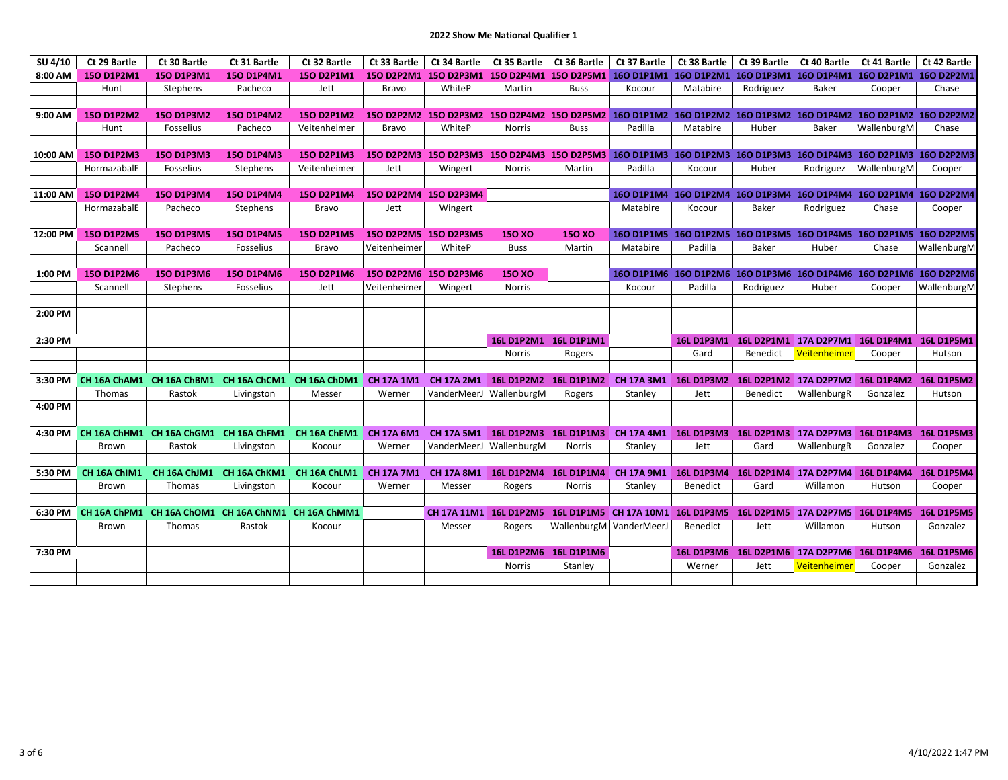| SU 4/10  | Ct 29 Bartle      | Ct 30 Bartle      | Ct 31 Bartle      | Ct 32 Bartle                                        | Ct 33 Bartle      | Ct 34 Bartle          | Ct 35 Bartle   Ct 36 Bartle      |                       | Ct 37 Bartle                                                                                                  | Ct 38 Bartle                | Ct 39 Bartle    | Ct 40 Bartle                                                      | Ct 41 Bartle      | Ct 42 Bartle           |
|----------|-------------------|-------------------|-------------------|-----------------------------------------------------|-------------------|-----------------------|----------------------------------|-----------------------|---------------------------------------------------------------------------------------------------------------|-----------------------------|-----------------|-------------------------------------------------------------------|-------------------|------------------------|
| 8:00 AM  | 150 D1P2M1        | 150 D1P3M1        | 150 D1P4M1        | 150 D2P1M1                                          |                   |                       |                                  |                       | 150 D2P2M1 150 D2P3M1 150 D2P4M1 150 D2P5M1 160 D1P1M1 160 D1P2M1 160 D1P3M1 160 D1P4M1 160 D2P1M1 160 D2P2M1 |                             |                 |                                                                   |                   |                        |
|          | Hunt              | Stephens          | Pacheco           | Jett                                                | Bravo             | WhiteP                | Martin                           | <b>Buss</b>           | Kocour                                                                                                        | Matabire                    | Rodriguez       | Baker                                                             | Cooper            | Chase                  |
|          |                   |                   |                   |                                                     |                   |                       |                                  |                       |                                                                                                               |                             |                 |                                                                   |                   |                        |
| 9:00 AM  | 150 D1P2M2        | 150 D1P3M2        | <b>150 D1P4M2</b> | 150 D2P1M2                                          |                   |                       |                                  |                       | 150 D2P2M2 150 D2P3M2 150 D2P4M2 150 D2P5M2 160 D1P1M2 160 D1P2M2 160 D1P3M2 160 D1P4M2 160 D2P1M2 160 D2P2M2 |                             |                 |                                                                   |                   |                        |
|          | Hunt              | Fosselius         | Pacheco           | Veitenheimer                                        | Bravo             | WhiteP                | <b>Norris</b>                    | <b>Buss</b>           | Padilla                                                                                                       | Matabire                    | Huber           | Baker                                                             | WallenburgM       | Chase                  |
|          |                   |                   |                   |                                                     |                   |                       |                                  |                       |                                                                                                               |                             |                 |                                                                   |                   |                        |
| 10:00 AM | <b>150 D1P2M3</b> | <b>150 D1P3M3</b> | <b>150 D1P4M3</b> | <b>150 D2P1M3</b>                                   |                   |                       |                                  |                       | 150 D2P2M3 150 D2P3M3 150 D2P4M3 150 D2P5M3 160 D1P1M3 160 D1P2M3 160 D1P3M3 160 D1P4M3 160 D2P1M3 160 D2P2M3 |                             |                 |                                                                   |                   |                        |
|          | HormazabalE       | Fosselius         | Stephens          | Veitenheimer                                        | Jett              | Wingert               | Norris                           | Martin                | Padilla                                                                                                       | Kocour                      | Huber           | Rodriguez                                                         | WallenburgM       | Cooper                 |
|          |                   |                   |                   |                                                     |                   |                       |                                  |                       |                                                                                                               |                             |                 |                                                                   |                   |                        |
| 11:00 AM | 150 D1P2M4        | 150 D1P3M4        | 150 D1P4M4        | 150 D2P1M4                                          |                   | 150 D2P2M4 150 D2P3M4 |                                  |                       |                                                                                                               |                             |                 | 160 D1P1M4 160 D1P2M4 160 D1P3M4 160 D1P4M4 160 D2P1M4 160 D2P2M4 |                   |                        |
|          | HormazabalE       | Pacheco           | Stephens          | Bravo                                               | Jett              | Wingert               |                                  |                       | Matabire                                                                                                      | Kocour                      | Baker           | Rodriguez                                                         | Chase             | Cooper                 |
|          |                   |                   |                   |                                                     |                   |                       |                                  |                       |                                                                                                               |                             |                 |                                                                   |                   |                        |
| 12:00 PM | <b>150 D1P2M5</b> | <b>150 D1P3M5</b> | <b>150 D1P4M5</b> | <b>150 D2P1M5</b>                                   |                   | 150 D2P2M5 150 D2P3M5 | <b>150 XO</b>                    | <b>150 XO</b>         |                                                                                                               |                             |                 | 160 D1P1M5 160 D1P2M5 160 D1P3M5 160 D1P4M5 160 D2P1M5 160 D2P2M5 |                   |                        |
|          | Scannell          | Pacheco           | Fosselius         | Bravo                                               | Veitenheimer      | WhiteP                | <b>Buss</b>                      | Martin                | Matabire                                                                                                      | Padilla                     | Baker           | Huber                                                             | Chase             | WallenburgM            |
| 1:00 PM  | 150 D1P2M6        | 150 D1P3M6        | 150 D1P4M6        | 150 D2P1M6                                          | 150 D2P2M6        | 150 D2P3M6            | 150 XO                           |                       |                                                                                                               |                             |                 | 160 D1P1M6 160 D1P2M6 160 D1P3M6 160 D1P4M6 160 D2P1M6 160 D2P2M6 |                   |                        |
|          | Scannell          | Stephens          | Fosselius         | Jett                                                | Veitenheimer      | Wingert               | Norris                           |                       | Kocour                                                                                                        | Padilla                     | Rodriguez       | Huber                                                             | Cooper            | WallenburgM            |
|          |                   |                   |                   |                                                     |                   |                       |                                  |                       |                                                                                                               |                             |                 |                                                                   |                   |                        |
| 2:00 PM  |                   |                   |                   |                                                     |                   |                       |                                  |                       |                                                                                                               |                             |                 |                                                                   |                   |                        |
|          |                   |                   |                   |                                                     |                   |                       |                                  |                       |                                                                                                               |                             |                 |                                                                   |                   |                        |
| 2:30 PM  |                   |                   |                   |                                                     |                   |                       |                                  | 16L D1P2M1 16L D1P1M1 |                                                                                                               |                             |                 | 16L D1P3M1  16L D2P1M1  17A D2P7M1  16L D1P4M1  16L D1P5M1        |                   |                        |
|          |                   |                   |                   |                                                     |                   |                       | Norris                           | Rogers                |                                                                                                               | Gard                        | Benedict        | Veitenheimer                                                      | Cooper            | Hutson                 |
|          |                   |                   |                   |                                                     |                   |                       |                                  |                       |                                                                                                               |                             |                 |                                                                   |                   |                        |
| 3:30 PM  |                   |                   |                   | CH 16A ChAM1 CH 16A ChBM1 CH 16A ChCM1 CH 16A ChDM1 | <b>CH 17A 1M1</b> | CH 17A 2M1            |                                  | 16L D1P2M2 16L D1P1M2 | <b>CH 17A 3M1</b>                                                                                             | <b>16L D1P3M2</b>           |                 | 16L D2P1M2 17A D2P7M2                                             | <b>16L D1P4M2</b> | 16L D1P5M2             |
|          | Thomas            | Rastok            | Livingston        | Messer                                              | Werner            | VanderMeerJ           | WallenburgM                      | Rogers                | Stanley                                                                                                       | Jett                        | <b>Benedict</b> | WallenburgR                                                       | Gonzalez          | Hutson                 |
| 4:00 PM  |                   |                   |                   |                                                     |                   |                       |                                  |                       |                                                                                                               |                             |                 |                                                                   |                   |                        |
|          |                   |                   |                   |                                                     |                   |                       |                                  |                       |                                                                                                               |                             |                 |                                                                   |                   |                        |
| 4:30 PM  |                   |                   |                   | CH 16A ChHM1 CH 16A ChGM1 CH 16A ChFM1 CH 16A ChEM1 | <b>CH 17A 6M1</b> |                       | CH 17A 5M1 16L D1P2M3 16L D1P1M3 |                       |                                                                                                               |                             |                 | CH 17A 4M1 16L D1P3M3 16L D2P1M3 17A D2P7M3 16L D1P4M3 16L D1P5M3 |                   |                        |
|          | Brown             | Rastok            | Livingston        | Kocour                                              | Werner            | VanderMeerJ           | WallenburgM                      | <b>Norris</b>         | Stanley                                                                                                       | Jett                        | Gard            | WallenburgR                                                       | Gonzalez          | Cooper                 |
|          |                   |                   |                   |                                                     |                   |                       |                                  |                       |                                                                                                               |                             |                 |                                                                   |                   |                        |
| 5:30 PM  | CH 16A ChIM1      | CH 16A ChJM1      | CH 16A ChKM1      | CH 16A ChLM1                                        |                   | CH 17A 7M1 CH 17A 8M1 |                                  | 16L D1P2M4 16L D1P1M4 | <b>CH 17A 9M1</b>                                                                                             |                             |                 | 16L D1P3M4 16L D2P1M4 17A D2P7M4                                  | <b>16L D1P4M4</b> | 16L D1P5M4             |
|          | Brown             | Thomas            | Livingston        | Kocour                                              | Werner            | Messer                | Rogers                           | <b>Norris</b>         | Stanley                                                                                                       | Benedict                    | Gard            | Willamon                                                          | Hutson            | Cooper                 |
|          |                   |                   |                   |                                                     |                   |                       |                                  |                       |                                                                                                               |                             |                 |                                                                   |                   |                        |
| 6:30 PM  |                   |                   |                   | CH 16A ChPM1 CH 16A ChOM1 CH 16A ChNM1 CH 16A ChMM1 |                   |                       |                                  |                       | CH 17A 11M1 16L D1P2M5 16L D1P1M5 CH 17A 10M1 16L D1P3M5 16L D2P1M5 17A D2P7M5                                |                             |                 |                                                                   | <b>16L D1P4M5</b> | 16L D1P5M5             |
|          | Brown             | Thomas            | Rastok            | Kocour                                              |                   | Messer                | Rogers                           |                       | WallenburgM VanderMeerJ                                                                                       | Benedict                    | Jett            | Willamon                                                          | Hutson            | Gonzalez               |
|          |                   |                   |                   |                                                     |                   |                       |                                  |                       |                                                                                                               |                             |                 |                                                                   |                   |                        |
| 7:30 PM  |                   |                   |                   |                                                     |                   |                       | <b>16L D1P2M6</b><br>Norris      | <b>16L D1P1M6</b>     |                                                                                                               | <b>16L D1P3M6</b><br>Werner | Jett            | 16L D2P1M6 17A D2P7M6<br><mark>Veitenheimer</mark>                | <b>16L D1P4M6</b> | 16L D1P5M6<br>Gonzalez |
|          |                   |                   |                   |                                                     |                   |                       |                                  | Stanley               |                                                                                                               |                             |                 |                                                                   | Cooper            |                        |
|          |                   |                   |                   |                                                     |                   |                       |                                  |                       |                                                                                                               |                             |                 |                                                                   |                   |                        |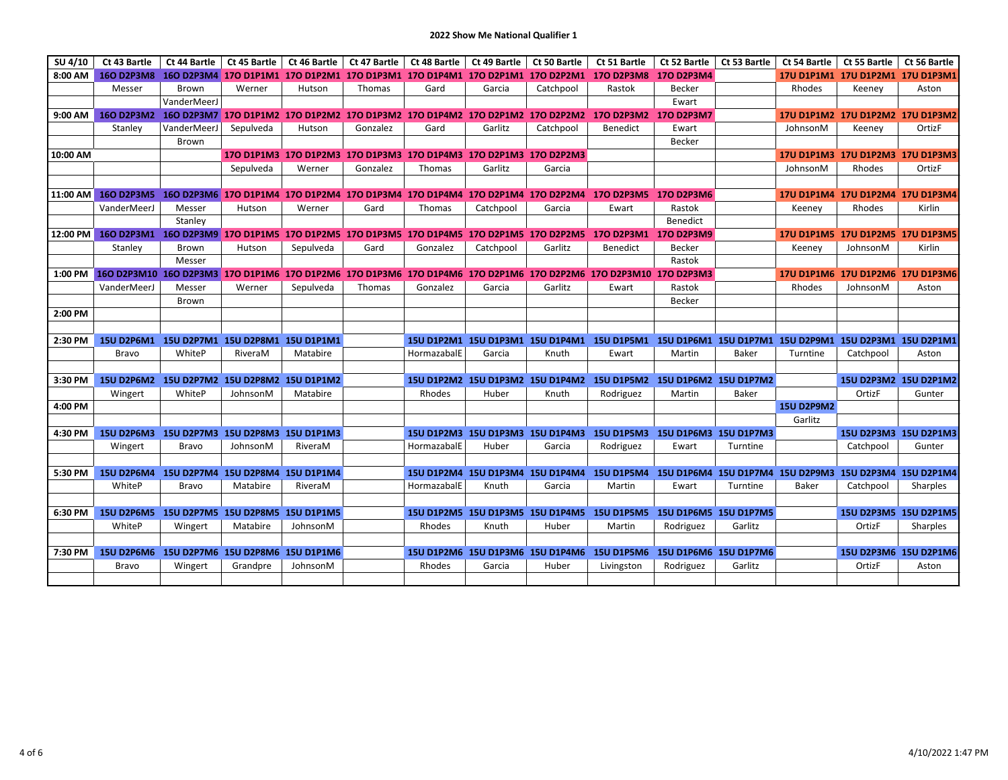| SU 4/10  | Ct 43 Bartle                                                                                                           | Ct 44 Bartle |                                  |           |          | Ct 45 Bartle   Ct 46 Bartle   Ct 47 Bartle   Ct 48 Bartle   Ct 49 Bartle |           | Ct 50 Bartle | Ct 51 Bartle                                                                                                  | Ct 52 Bartle | Ct 53 Bartle          | Ct 54 Bartle      | $\vert$ Ct 55 Bartle             | Ct 56 Bartle          |
|----------|------------------------------------------------------------------------------------------------------------------------|--------------|----------------------------------|-----------|----------|--------------------------------------------------------------------------|-----------|--------------|---------------------------------------------------------------------------------------------------------------|--------------|-----------------------|-------------------|----------------------------------|-----------------------|
| 8:00 AM  |                                                                                                                        |              |                                  |           |          |                                                                          |           |              | 160 D2P3M8 160 D2P3M4 170 D1P1M1 170 D1P2M1 170 D1P3M1 170 D1P4M1 170 D2P1M1 170 D2P2M1 170 D2P3M8 170 D2P3M4 |              |                       |                   | 17U D1P1M1 17U D1P2M1 17U D1P3M1 |                       |
|          | Messer                                                                                                                 | <b>Brown</b> | Werner                           | Hutson    | Thomas   | Gard                                                                     | Garcia    | Catchpool    | Rastok                                                                                                        | Becker       |                       | Rhodes            | Keeney                           | Aston                 |
|          |                                                                                                                        | VanderMeerJ  |                                  |           |          |                                                                          |           |              |                                                                                                               | Ewart        |                       |                   |                                  |                       |
| 9:00 AM  | 160 D2P3M2 160 D2P3M7 170 D1P1M2 170 D1P2M2 170 D1P3M2 170 D1P4M2 170 D2P1M2 170 D2P2M2                                |              |                                  |           |          |                                                                          |           |              | 170 D2P3M2 170 D2P3M7                                                                                         |              |                       |                   | 17U D1P1M2 17U D1P2M2 17U D1P3M2 |                       |
|          | Stanley                                                                                                                | VanderMeerJ  | Sepulveda                        | Hutson    | Gonzalez | Gard                                                                     | Garlitz   | Catchpool    | <b>Benedict</b>                                                                                               | Ewart        |                       | JohnsonM          | Keeney                           | OrtizF                |
|          |                                                                                                                        | Brown        |                                  |           |          |                                                                          |           |              |                                                                                                               | Becker       |                       |                   |                                  |                       |
| 10:00 AM |                                                                                                                        |              |                                  |           |          | 170 D1P1M3 170 D1P2M3 170 D1P3M3 170 D1P4M3 170 D2P1M3 170 D2P2M3        |           |              |                                                                                                               |              |                       |                   | 17U D1P1M3 17U D1P2M3 17U D1P3M3 |                       |
|          |                                                                                                                        |              | Sepulveda                        | Werner    | Gonzalez | Thomas                                                                   | Garlitz   | Garcia       |                                                                                                               |              |                       | JohnsonM          | Rhodes                           | OrtizF                |
|          |                                                                                                                        |              |                                  |           |          |                                                                          |           |              |                                                                                                               |              |                       |                   |                                  |                       |
| 11:00 AM | 160 D2P3M5                                                                                                             |              |                                  |           |          |                                                                          |           |              | 160 D2P3M6 170 D1P1M4 170 D1P2M4 170 D1P3M4 170 D1P4M4 170 D2P1M4 170 D2P2M4 170 D2P3M5 170 D2P3M6            |              |                       |                   | 17U D1P1M4 17U D1P2M4 17U D1P3M4 |                       |
|          | VanderMeerJ                                                                                                            | Messer       | Hutson                           | Werner    | Gard     | Thomas                                                                   | Catchpool | Garcia       | Ewart                                                                                                         | Rastok       |                       | Keeney            | Rhodes                           | Kirlin                |
|          |                                                                                                                        | Stanley      |                                  |           |          |                                                                          |           |              |                                                                                                               | Benedict     |                       |                   |                                  |                       |
|          | 12:00 PM 16O D2P3M1 16O D2P3M9 17O D1P1M5 17O D1P2M5 17O D1P3M5 17O D1P4M5 17O D2P1M5 17O D2P2M5 17O D2P3M1 17O D2P3M9 |              |                                  |           |          |                                                                          |           |              |                                                                                                               |              |                       |                   | 17U D1P1M5 17U D1P2M5 17U D1P3M5 |                       |
|          | Stanley                                                                                                                | <b>Brown</b> | Hutson                           | Sepulveda | Gard     | Gonzalez                                                                 | Catchpool | Garlitz      | <b>Benedict</b>                                                                                               | Becker       |                       | Keeney            | JohnsonM                         | Kirlin                |
|          |                                                                                                                        | Messer       |                                  |           |          |                                                                          |           |              |                                                                                                               | Rastok       |                       |                   |                                  |                       |
| 1:00 PM  | 100 D2P3M10 16O D2P3M3 17O D1P1M6 17O D1P2M6 17O D1P3M6 17O D1P4M6 17O D2P1M6 17O D2P2M6 17O D2P3M10 17O D2P3M3        |              |                                  |           |          |                                                                          |           |              |                                                                                                               |              |                       |                   | 17U D1P1M6 17U D1P2M6 17U D1P3M6 |                       |
|          | VanderMeerJ                                                                                                            | Messer       | Werner                           | Sepulveda | Thomas   | Gonzalez                                                                 | Garcia    | Garlitz      | Ewart                                                                                                         | Rastok       |                       | Rhodes            | JohnsonM                         | Aston                 |
|          |                                                                                                                        | <b>Brown</b> |                                  |           |          |                                                                          |           |              |                                                                                                               | Becker       |                       |                   |                                  |                       |
| 2:00 PM  |                                                                                                                        |              |                                  |           |          |                                                                          |           |              |                                                                                                               |              |                       |                   |                                  |                       |
|          |                                                                                                                        |              |                                  |           |          |                                                                          |           |              |                                                                                                               |              |                       |                   |                                  |                       |
| 2:30 PM  | 15U D2P6M1 15U D2P7M1 15U D2P8M1 15U D1P1M1                                                                            |              |                                  |           |          |                                                                          |           |              | 15U D1P2M1 15U D1P3M1 15U D1P4M1 15U D1P5M1 15U D1P6M1 15U D1P7M1 15U D2P9M1 15U D2P3M1 15U D2P1M1            |              |                       |                   |                                  |                       |
|          | <b>Bravo</b>                                                                                                           | WhiteP       | RiveraM                          | Matabire  |          | HormazabalE                                                              | Garcia    | Knuth        | Ewart                                                                                                         | Martin       | <b>Baker</b>          | Turntine          | Catchpool                        | Aston                 |
|          |                                                                                                                        |              |                                  |           |          |                                                                          |           |              |                                                                                                               |              |                       |                   |                                  |                       |
| 3:30 PM  | 15U D2P6M2 15U D2P7M2 15U D2P8M2 15U D1P1M2                                                                            |              |                                  |           |          |                                                                          |           |              | 15U D1P2M2 15U D1P3M2 15U D1P4M2 15U D1P5M2 15U D1P6M2 15U D1P7M2                                             |              |                       |                   |                                  | 15U D2P3M2 15U D2P1M2 |
|          | Wingert                                                                                                                | WhiteP       | JohnsonM                         | Matabire  |          | Rhodes                                                                   | Huber     | Knuth        | Rodriguez                                                                                                     | Martin       | Baker                 | <b>15U D2P9M2</b> | OrtizF                           | Gunter                |
| 4:00 PM  |                                                                                                                        |              |                                  |           |          |                                                                          |           |              |                                                                                                               |              |                       |                   |                                  |                       |
| 4:30 PM  | 15U D2P6M3 15U D2P7M3 15U D2P8M3 15U D1P1M3                                                                            |              |                                  |           |          |                                                                          |           |              | 15U D1P2M3 15U D1P3M3 15U D1P4M3 15U D1P5M3 15U D1P6M3 15U D1P7M3                                             |              |                       | Garlitz           |                                  | 15U D2P3M3 15U D2P1M3 |
|          | Wingert                                                                                                                | <b>Bravo</b> |                                  | RiveraM   |          | HormazabalE                                                              | Huber     | Garcia       | Rodriguez                                                                                                     |              | Turntine              |                   | Catchpool                        | Gunter                |
|          |                                                                                                                        |              | JohnsonM                         |           |          |                                                                          |           |              |                                                                                                               | Ewart        |                       |                   |                                  |                       |
| 5:30 PM  | 15U D2P6M4 15U D2P7M4 15U D2P8M4 15U D1P1M4                                                                            |              |                                  |           |          |                                                                          |           |              | 15U D1P2M4 15U D1P3M4 15U D1P4M4 15U D1P5M4 15U D1P6M4 15U D1P7M4 15U D2P9M3 15U D2P3M4 15U D2P1M4            |              |                       |                   |                                  |                       |
|          | WhiteP                                                                                                                 | Bravo        | Matabire                         | RiveraM   |          | HormazabalE                                                              | Knuth     | Garcia       | Martin                                                                                                        | Ewart        | Turntine              | <b>Baker</b>      | Catchpool                        | Sharples              |
|          |                                                                                                                        |              |                                  |           |          |                                                                          |           |              |                                                                                                               |              |                       |                   |                                  |                       |
| 6:30 PM  | 15U D2P6M5 15U D2P7M5 15U D2P8M5 15U D1P1M5                                                                            |              |                                  |           |          |                                                                          |           |              | 15U D1P2M5 15U D1P3M5 15U D1P4M5 15U D1P5M5 15U D1P6M5 15U D1P7M5                                             |              |                       |                   |                                  | 15U D2P3M5 15U D2P1M5 |
|          | WhiteP                                                                                                                 | Wingert      | Matabire                         | JohnsonM  |          | Rhodes                                                                   | Knuth     | Huber        | Martin                                                                                                        | Rodriguez    | Garlitz               |                   | OrtizF                           | Sharples              |
|          |                                                                                                                        |              |                                  |           |          |                                                                          |           |              |                                                                                                               |              |                       |                   |                                  |                       |
| 7:30 PM  | <b>15U D2P6M6</b>                                                                                                      |              | 15U D2P7M6 15U D2P8M6 15U D1P1M6 |           |          |                                                                          |           |              | 15U D1P2M6 15U D1P3M6 15U D1P4M6 15U D1P5M6                                                                   |              | 15U D1P6M6 15U D1P7M6 |                   |                                  | 15U D2P3M6 15U D2P1M6 |
|          | <b>Bravo</b>                                                                                                           | Wingert      | Grandpre                         | JohnsonM  |          | Rhodes                                                                   | Garcia    | Huber        | Livingston                                                                                                    | Rodriguez    | Garlitz               |                   | OrtizF                           | Aston                 |
|          |                                                                                                                        |              |                                  |           |          |                                                                          |           |              |                                                                                                               |              |                       |                   |                                  |                       |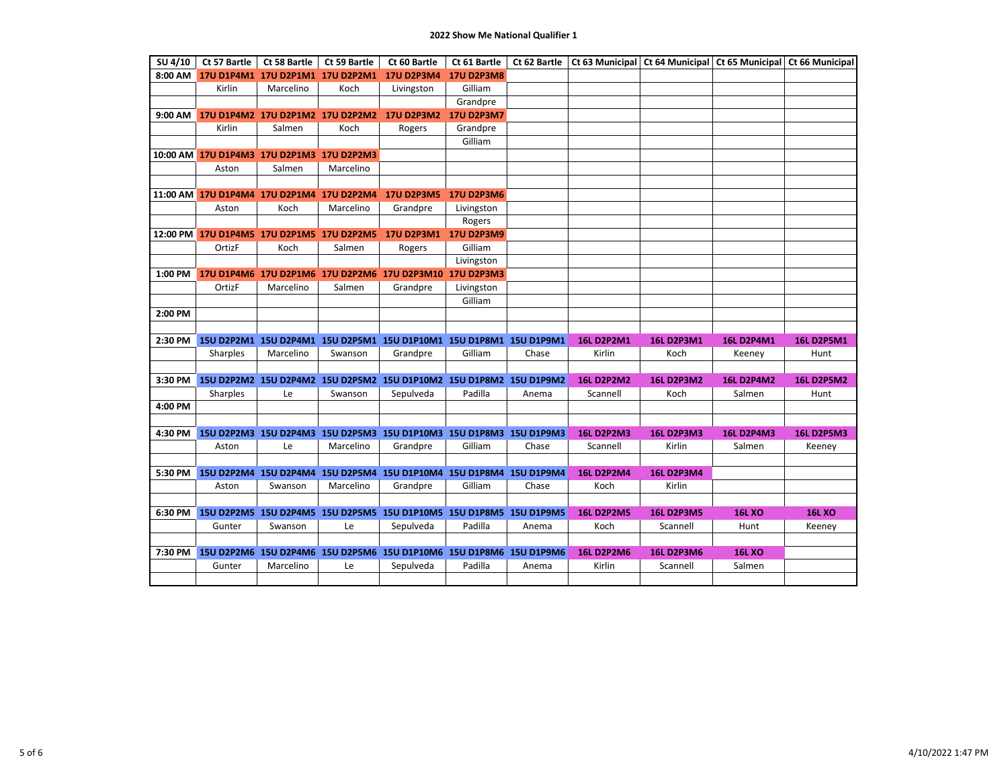| SU 4/10 | Ct 57 Bartle                              | Ct 58 Bartle                     | Ct 59 Bartle | Ct 60 Bartle                                                       | Ct 61 Bartle      | Ct 62 Bartle |                   |                   | Ct 63 Municipal Ct 64 Municipal Ct 65 Municipal Ct 66 Municipal |                   |
|---------|-------------------------------------------|----------------------------------|--------------|--------------------------------------------------------------------|-------------------|--------------|-------------------|-------------------|-----------------------------------------------------------------|-------------------|
| 8:00 AM |                                           |                                  |              | 17U D1P4M1 17U D2P1M1 17U D2P2M1 17U D2P3M4                        | <b>17U D2P3M8</b> |              |                   |                   |                                                                 |                   |
|         | Kirlin                                    | Marcelino                        | Koch         | Livingston                                                         | Gilliam           |              |                   |                   |                                                                 |                   |
|         |                                           |                                  |              |                                                                    | Grandpre          |              |                   |                   |                                                                 |                   |
| 9:00 AM |                                           | 17U D1P4M2 17U D2P1M2 17U D2P2M2 |              | 17U D2P3M2 17U D2P3M7                                              |                   |              |                   |                   |                                                                 |                   |
|         | Kirlin                                    | Salmen                           | Koch         | Rogers                                                             | Grandpre          |              |                   |                   |                                                                 |                   |
|         |                                           |                                  |              |                                                                    | Gilliam           |              |                   |                   |                                                                 |                   |
|         | 10:00 AM 17U D1P4M3 17U D2P1M3 17U D2P2M3 |                                  |              |                                                                    |                   |              |                   |                   |                                                                 |                   |
|         | Aston                                     | Salmen                           | Marcelino    |                                                                    |                   |              |                   |                   |                                                                 |                   |
|         |                                           |                                  |              |                                                                    |                   |              |                   |                   |                                                                 |                   |
|         | 11:00 AM 17U D1P4M4 17U D2P1M4 17U D2P2M4 |                                  |              | 17U D2P3M5 17U D2P3M6                                              |                   |              |                   |                   |                                                                 |                   |
|         | Aston                                     | Koch                             | Marcelino    | Grandpre                                                           | Livingston        |              |                   |                   |                                                                 |                   |
|         |                                           |                                  |              |                                                                    | Rogers            |              |                   |                   |                                                                 |                   |
|         | 12:00 PM 17U D1P4M5 17U D2P1M5 17U D2P2M5 |                                  |              | 17U D2P3M1 17U D2P3M9                                              |                   |              |                   |                   |                                                                 |                   |
|         | OrtizF                                    | Koch                             | Salmen       | Rogers                                                             | Gilliam           |              |                   |                   |                                                                 |                   |
|         |                                           |                                  |              |                                                                    | Livingston        |              |                   |                   |                                                                 |                   |
| 1:00 PM |                                           |                                  |              | 17U D1P4M6 17U D2P1M6 17U D2P2M6 17U D2P3M10                       | <b>17U D2P3M3</b> |              |                   |                   |                                                                 |                   |
|         | OrtizF                                    | Marcelino                        | Salmen       | Grandpre                                                           | Livingston        |              |                   |                   |                                                                 |                   |
|         |                                           |                                  |              |                                                                    | Gilliam           |              |                   |                   |                                                                 |                   |
| 2:00 PM |                                           |                                  |              |                                                                    |                   |              |                   |                   |                                                                 |                   |
|         |                                           |                                  |              |                                                                    |                   |              |                   |                   |                                                                 |                   |
| 2:30 PM |                                           |                                  |              | 15U D2P2M1 15U D2P4M1 15U D2P5M1 15U D1P10M1 15U D1P8M1 15U D1P9M1 |                   |              | <b>16L D2P2M1</b> | <b>16L D2P3M1</b> | <b>16L D2P4M1</b>                                               | <b>16L D2P5M1</b> |
|         | Sharples                                  | Marcelino                        | Swanson      | Grandpre                                                           | Gilliam           | Chase        | Kirlin            | Koch              | Keeney                                                          | Hunt              |
|         |                                           |                                  |              |                                                                    |                   |              |                   |                   |                                                                 |                   |
| 3:30 PM |                                           |                                  |              | 15U D2P2M2 15U D2P4M2 15U D2P5M2 15U D1P10M2 15U D1P8M2 15U D1P9M2 |                   |              | <b>16L D2P2M2</b> | <b>16L D2P3M2</b> | <b>16L D2P4M2</b>                                               | <b>16L D2P5M2</b> |
|         | Sharples                                  | Le                               | Swanson      | Sepulveda                                                          | Padilla           | Anema        | Scannell          | Koch              | Salmen                                                          | Hunt              |
| 4:00 PM |                                           |                                  |              |                                                                    |                   |              |                   |                   |                                                                 |                   |
|         |                                           |                                  |              |                                                                    |                   |              |                   |                   |                                                                 |                   |
| 4:30 PM |                                           |                                  |              | 15U D2P2M3 15U D2P4M3 15U D2P5M3 15U D1P10M3 15U D1P8M3 15U D1P9M3 |                   |              | <b>16L D2P2M3</b> | <b>16L D2P3M3</b> | <b>16L D2P4M3</b>                                               | <b>16L D2P5M3</b> |
|         | Aston                                     | Le                               | Marcelino    | Grandpre                                                           | Gilliam           | Chase        | Scannell          | Kirlin            | Salmen                                                          | Keeney            |
|         |                                           |                                  |              |                                                                    |                   |              |                   |                   |                                                                 |                   |
| 5:30 PM |                                           |                                  |              | 15U D2P2M4 15U D2P4M4 15U D2P5M4 15U D1P10M4 15U D1P8M4 15U D1P9M4 |                   |              | <b>16L D2P2M4</b> | <b>16L D2P3M4</b> |                                                                 |                   |
|         | Aston                                     | Swanson                          | Marcelino    | Grandpre                                                           | Gilliam           | Chase        | Koch              | Kirlin            |                                                                 |                   |
|         |                                           |                                  |              |                                                                    |                   |              |                   |                   |                                                                 |                   |
| 6:30 PM |                                           |                                  |              | 15U D2P2M5 15U D2P4M5 15U D2P5M5 15U D1P10M5 15U D1P8M5 15U D1P9M5 |                   |              | <b>16L D2P2M5</b> | <b>16L D2P3M5</b> | <b>16L XO</b>                                                   | <b>16L XO</b>     |
|         | Gunter                                    | Swanson                          | Le           | Sepulveda                                                          | Padilla           | Anema        | Koch              | Scannell          | Hunt                                                            | Keeney            |
|         |                                           |                                  |              |                                                                    |                   |              |                   |                   |                                                                 |                   |
| 7:30 PM |                                           |                                  |              | 15U D2P2M6 15U D2P4M6 15U D2P5M6 15U D1P10M6 15U D1P8M6 15U D1P9M6 | Padilla           |              | <b>16L D2P2M6</b> | <b>16L D2P3M6</b> | <b>16L XO</b><br>Salmen                                         |                   |
|         | Gunter                                    | Marcelino                        | Le           | Sepulveda                                                          |                   | Anema        | Kirlin            | Scannell          |                                                                 |                   |